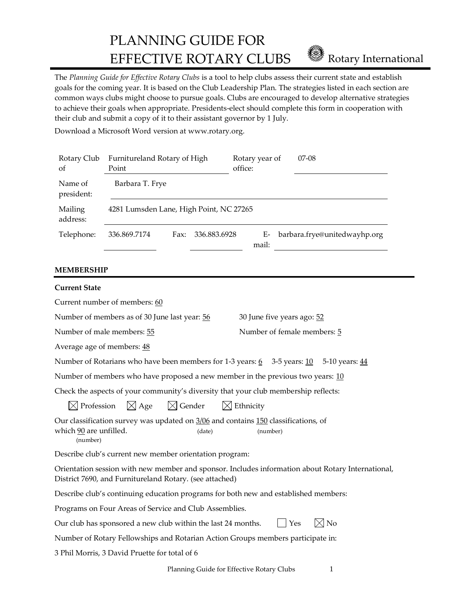PLANNING GUIDE FOR EFFECTIVE ROTARY CLUBS **Rotary International** 

The *Planning Guide for Effective Rotary Clubs* is a tool to help clubs assess their current state and establish goals for the coming year. It is based on the Club Leadership Plan. The strategies listed in each section are common ways clubs might choose to pursue goals. Clubs are encouraged to develop alternative strategies to achieve their goals when appropriate. Presidents-elect should complete this form in cooperation with their club and submit a copy of it to their assistant governor by 1 July.

Download a Microsoft Word version at www.rotary.org.

| Rotary Club<br>of     | Furnitureland Rotary of High<br>Point   |      |              | Rotary year of<br>office: |             | $07-08$                      |
|-----------------------|-----------------------------------------|------|--------------|---------------------------|-------------|------------------------------|
| Name of<br>president: | Barbara T. Frye                         |      |              |                           |             |                              |
| Mailing<br>address:   | 4281 Lumsden Lane, High Point, NC 27265 |      |              |                           |             |                              |
| Telephone:            | 336.869.7174                            | Fax: | 336.883.6928 |                           | E-<br>mail: | barbara.frye@unitedwayhp.org |

# **MEMBERSHIP**

| <b>Current State</b>                                                                                                                                         |                                                                                 |  |  |  |  |
|--------------------------------------------------------------------------------------------------------------------------------------------------------------|---------------------------------------------------------------------------------|--|--|--|--|
| Current number of members: 60                                                                                                                                |                                                                                 |  |  |  |  |
| Number of members as of 30 June last year: 56                                                                                                                | 30 June five years ago: 52                                                      |  |  |  |  |
| Number of male members: 55                                                                                                                                   | Number of female members: 5                                                     |  |  |  |  |
| Average age of members: 48                                                                                                                                   |                                                                                 |  |  |  |  |
| Number of Rotarians who have been members for 1-3 years: 6 3-5 years: 10 5-10 years: 44                                                                      |                                                                                 |  |  |  |  |
| Number of members who have proposed a new member in the previous two years: $10$                                                                             |                                                                                 |  |  |  |  |
| Check the aspects of your community's diversity that your club membership reflects:                                                                          |                                                                                 |  |  |  |  |
| $\boxtimes$ Profession $\boxtimes$ Age $\boxtimes$ Gender $\boxtimes$ Ethnicity                                                                              |                                                                                 |  |  |  |  |
| Our classification survey was updated on 3/06 and contains 150 classifications, of<br>which 90 are unfilled.<br>(date)<br>(number)                           | (number)                                                                        |  |  |  |  |
| Describe club's current new member orientation program:                                                                                                      |                                                                                 |  |  |  |  |
| Orientation session with new member and sponsor. Includes information about Rotary International,<br>District 7690, and Furnitureland Rotary. (see attached) |                                                                                 |  |  |  |  |
| Describe club's continuing education programs for both new and established members:                                                                          |                                                                                 |  |  |  |  |
| Programs on Four Areas of Service and Club Assemblies.                                                                                                       |                                                                                 |  |  |  |  |
| $ \!\!\!\triangleleft$ No<br>Our club has sponsored a new club within the last 24 months.<br>Yes                                                             |                                                                                 |  |  |  |  |
|                                                                                                                                                              | Number of Rotary Fellowships and Rotarian Action Groups members participate in: |  |  |  |  |
| 3 Phil Morris, 3 David Pruette for total of 6                                                                                                                |                                                                                 |  |  |  |  |
|                                                                                                                                                              |                                                                                 |  |  |  |  |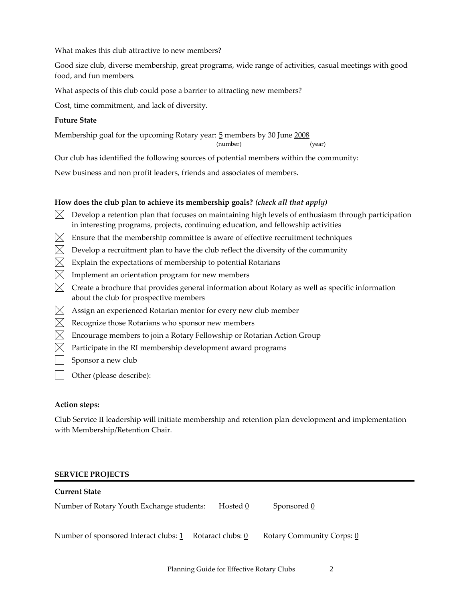What makes this club attractive to new members?

Good size club, diverse membership, great programs, wide range of activities, casual meetings with good food, and fun members.

What aspects of this club could pose a barrier to attracting new members?

Cost, time commitment, and lack of diversity.

### **Future State**

Membership goal for the upcoming Rotary year: 5 members by 30 June 2008

(number) (year)

Our club has identified the following sources of potential members within the community:

New business and non profit leaders, friends and associates of members.

# **How does the club plan to achieve its membership goals?** *(check all that apply)*

- $\bowtie$  Develop a retention plan that focuses on maintaining high levels of enthusiasm through participation in interesting programs, projects, continuing education, and fellowship activities
- $\boxtimes$  Ensure that the membership committee is aware of effective recruitment techniques
- $\boxtimes$  Develop a recruitment plan to have the club reflect the diversity of the community
- $\boxtimes$  Explain the expectations of membership to potential Rotarians
- $\boxtimes$  Implement an orientation program for new members
- $\boxtimes$  Create a brochure that provides general information about Rotary as well as specific information about the club for prospective members
- $\boxtimes$  Assign an experienced Rotarian mentor for every new club member
- $\boxtimes$  Recognize those Rotarians who sponsor new members
- $\boxtimes$  Encourage members to join a Rotary Fellowship or Rotarian Action Group
- $\boxtimes$  Participate in the RI membership development award programs
- Sponsor a new club
- Other (please describe):

# **Action steps:**

Club Service II leadership will initiate membership and retention plan development and implementation with Membership/Retention Chair.

### **SERVICE PROJECTS**

| Current State                                           |          |                           |
|---------------------------------------------------------|----------|---------------------------|
| Number of Rotary Youth Exchange students:               | Hosted 0 | Sponsored 0               |
| Number of sponsored Interact clubs: 1 Rotaract clubs: 0 |          | Rotary Community Corps: 0 |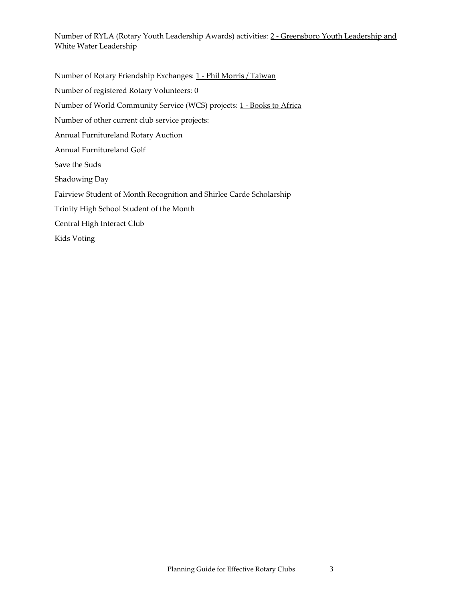Number of RYLA (Rotary Youth Leadership Awards) activities: 2 - Greensboro Youth Leadership and White Water Leadership

Number of Rotary Friendship Exchanges: 1 - Phil Morris / Taiwan Number of registered Rotary Volunteers: 0 Number of World Community Service (WCS) projects: 1 - Books to Africa Number of other current club service projects: Annual Furnitureland Rotary Auction Annual Furnitureland Golf Save the Suds Shadowing Day Fairview Student of Month Recognition and Shirlee Carde Scholarship Trinity High School Student of the Month Central High Interact Club Kids Voting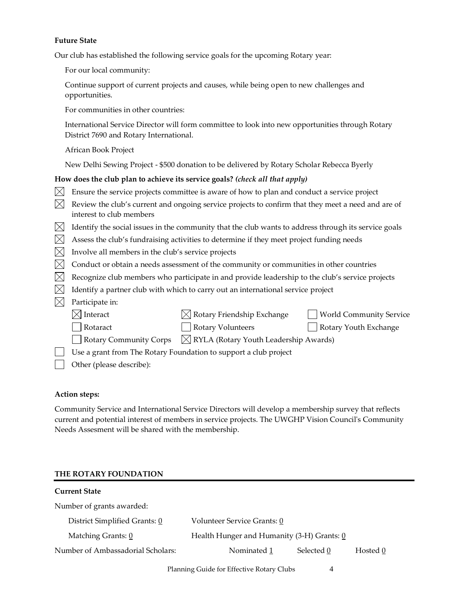#### **Future State**

Our club has established the following service goals for the upcoming Rotary year:

For our local community:

Continue support of current projects and causes, while being open to new challenges and opportunities.

For communities in other countries:

International Service Director will form committee to look into new opportunities through Rotary District 7690 and Rotary International.

African Book Project

New Delhi Sewing Project - \$500 donation to be delivered by Rotary Scholar Rebecca Byerly

# **How does the club plan to achieve its service goals?** *(check all that apply)*

- $\boxtimes$  Ensure the service projects committee is aware of how to plan and conduct a service project
- $\boxtimes$  Review the club's current and ongoing service projects to confirm that they meet a need and are of interest to club members
- $\boxtimes$  Identify the social issues in the community that the club wants to address through its service goals
- $\boxtimes$  Assess the club's fundraising activities to determine if they meet project funding needs
- $\boxtimes$  Involve all members in the club's service projects
- $\boxtimes$  Conduct or obtain a needs assessment of the community or communities in other countries
- $\boxtimes$  Recognize club members who participate in and provide leadership to the club's service projects
- $\boxtimes$  Identify a partner club with which to carry out an international service project

# $\boxtimes$  Participate in:

| $\boxtimes$ Interact     | $[$ Rotary Friendship Exchange                                           | World Community Service |
|--------------------------|--------------------------------------------------------------------------|-------------------------|
| Rotaract                 | <b>Rotary Volunteers</b>                                                 | Rotary Youth Exchange   |
|                          | Rotary Community Corps $\boxtimes$ RYLA (Rotary Youth Leadership Awards) |                         |
|                          | Use a grant from The Rotary Foundation to support a club project         |                         |
| Other (please describe): |                                                                          |                         |

### **Action steps:**

Community Service and International Service Directors will develop a membership survey that reflects current and potential interest of members in service projects. The UWGHP Vision Council's Community Needs Assesment will be shared with the membership.

### **THE ROTARY FOUNDATION**

| <b>Current State</b>              |                                            |            |          |
|-----------------------------------|--------------------------------------------|------------|----------|
| Number of grants awarded:         |                                            |            |          |
| District Simplified Grants: 0     | Volunteer Service Grants: 0                |            |          |
| Matching Grants: 0                | Health Hunger and Humanity (3-H) Grants: 0 |            |          |
| Number of Ambassadorial Scholars: | Nominated 1                                | Selected 0 | Hosted 0 |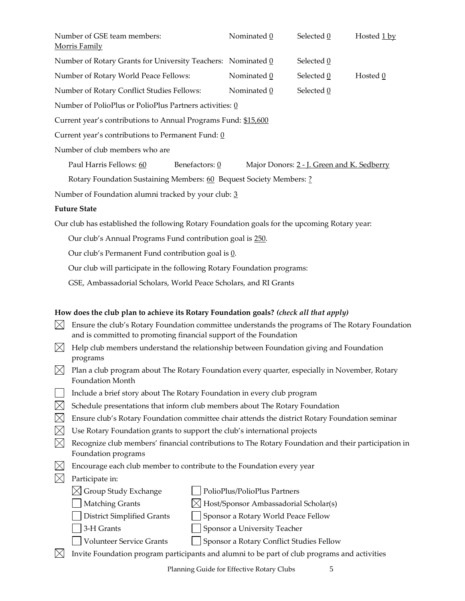| Number of GSE team members:<br><b>Morris Family</b>                 |                                                   | Nominated 0                                         | Selected 0                                 | Hosted 1 by |  |  |  |  |
|---------------------------------------------------------------------|---------------------------------------------------|-----------------------------------------------------|--------------------------------------------|-------------|--|--|--|--|
| Number of Rotary Grants for University Teachers: Nominated 0        |                                                   |                                                     | Selected 0                                 |             |  |  |  |  |
| Number of Rotary World Peace Fellows:                               |                                                   | Nominated 0                                         | Selected 0                                 | Hosted 0    |  |  |  |  |
| Number of Rotary Conflict Studies Fellows:                          |                                                   | Nominated 0                                         | Selected 0                                 |             |  |  |  |  |
| Number of PolioPlus or PolioPlus Partners activities: 0             |                                                   |                                                     |                                            |             |  |  |  |  |
| Current year's contributions to Annual Programs Fund: \$15,600      |                                                   |                                                     |                                            |             |  |  |  |  |
|                                                                     | Current year's contributions to Permanent Fund: 0 |                                                     |                                            |             |  |  |  |  |
| Number of club members who are                                      |                                                   |                                                     |                                            |             |  |  |  |  |
| Paul Harris Fellows: 60                                             | Benefactors: 0                                    |                                                     | Major Donors: 2 - J. Green and K. Sedberry |             |  |  |  |  |
| Rotary Foundation Sustaining Members: 60 Bequest Society Members: ? |                                                   |                                                     |                                            |             |  |  |  |  |
|                                                                     |                                                   | Number of Foundation alumni tracked by your club: 3 |                                            |             |  |  |  |  |

# **Future State**

Our club has established the following Rotary Foundation goals for the upcoming Rotary year:

Our club's Annual Programs Fund contribution goal is 250.

Our club's Permanent Fund contribution goal is 0.

Our club will participate in the following Rotary Foundation programs:

GSE, Ambassadorial Scholars, World Peace Scholars, and RI Grants

### **How does the club plan to achieve its Rotary Foundation goals?** *(check all that apply)*

- $\boxtimes$  Ensure the club's Rotary Foundation committee understands the programs of The Rotary Foundation and is committed to promoting financial support of the Foundation
- $\boxtimes$  Help club members understand the relationship between Foundation giving and Foundation programs
- $\bowtie$  Plan a club program about The Rotary Foundation every quarter, especially in November, Rotary Foundation Month
- $\vert \ \vert$  Include a brief story about The Rotary Foundation in every club program
- $\boxtimes$  Schedule presentations that inform club members about The Rotary Foundation
- $\boxtimes$  Ensure club's Rotary Foundation committee chair attends the district Rotary Foundation seminar
- $\boxtimes$  Use Rotary Foundation grants to support the club's international projects
- $\bowtie$  Recognize club members' financial contributions to The Rotary Foundation and their participation in Foundation programs
- $\bowtie$  Encourage each club member to contribute to the Foundation every year
- $\boxtimes$  Participate in:
	-
	- $\boxtimes$  Group Study Exchange  $\parallel$  PolioPlus/PolioPlus Partners
		-
	- $\parallel$  Matching Grants  $\bowtie$  Host/Sponsor Ambassadorial Scholar(s)
	- $\Box$  District Simplified Grants  $\Box$  Sponsor a Rotary World Peace Fellow
		-
- 
- | 3-H Grants | Sponsor a University Teacher
- Volunteer Service Grants Sponsor a Rotary Conflict Studies Fellow
- $\bowtie$  Invite Foundation program participants and alumni to be part of club programs and activities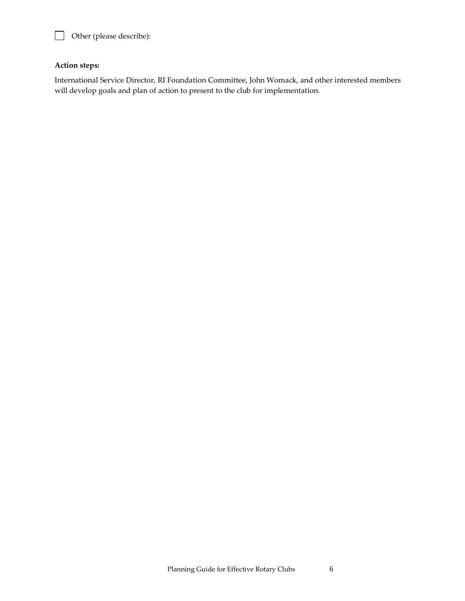

Other (please describe):

# **Action steps:**

International Service Director, RI Foundation Committee, John Womack, and other interested members will develop goals and plan of action to present to the club for implementation.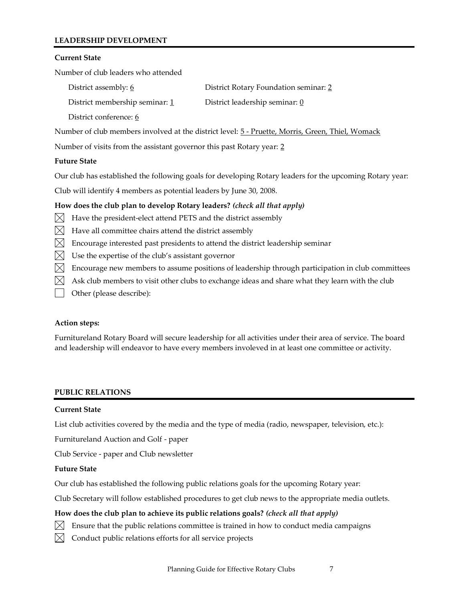# **LEADERSHIP DEVELOPMENT**

### **Current State**

Number of club leaders who attended

| District assembly: 6           | District Rotary Foundation seminar: 2 |
|--------------------------------|---------------------------------------|
| District membership seminar: 1 | District leadership seminar: 0        |
| District conference: 6         |                                       |

Number of club members involved at the district level: 5 - Pruette, Morris, Green, Thiel, Womack

Number of visits from the assistant governor this past Rotary year: 2

### **Future State**

Our club has established the following goals for developing Rotary leaders for the upcoming Rotary year:

Club will identify 4 members as potential leaders by June 30, 2008.

# **How does the club plan to develop Rotary leaders?** *(check all that apply)*

- $\boxtimes$  Have the president-elect attend PETS and the district assembly
- $\boxtimes$  Have all committee chairs attend the district assembly
- $\boxtimes$  Encourage interested past presidents to attend the district leadership seminar
- $\boxtimes$  Use the expertise of the club's assistant governor
- $\boxtimes$  Encourage new members to assume positions of leadership through participation in club committees
- $\boxtimes$  Ask club members to visit other clubs to exchange ideas and share what they learn with the club
- Other (please describe):

# **Action steps:**

Furnitureland Rotary Board will secure leadership for all activities under their area of service. The board and leadership will endeavor to have every members involeved in at least one committee or activity.

# **PUBLIC RELATIONS**

# **Current State**

List club activities covered by the media and the type of media (radio, newspaper, television, etc.):

Furnitureland Auction and Golf - paper

Club Service - paper and Club newsletter

# **Future State**

Our club has established the following public relations goals for the upcoming Rotary year:

Club Secretary will follow established procedures to get club news to the appropriate media outlets.

# **How does the club plan to achieve its public relations goals?** *(check all that apply)*

- $\boxtimes$  Ensure that the public relations committee is trained in how to conduct media campaigns
- $\boxtimes$  Conduct public relations efforts for all service projects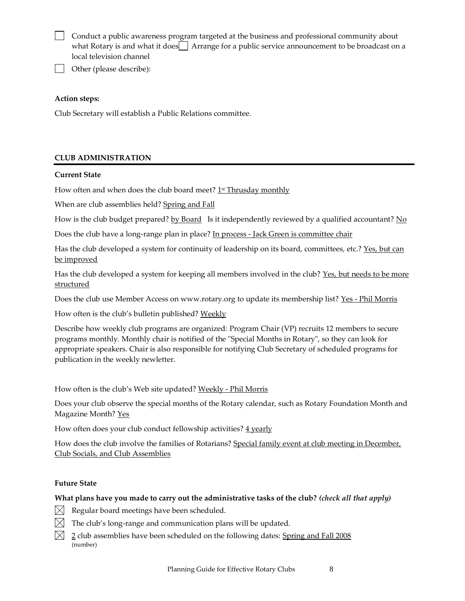Conduct a public awareness program targeted at the business and professional community about what Rotary is and what it does  $\Box$  Arrange for a public service announcement to be broadcast on a local television channel

Other (please describe):

### **Action steps:**

Club Secretary will establish a Public Relations committee.

# **CLUB ADMINISTRATION**

### **Current State**

How often and when does the club board meet? <u>1st Thrusday monthly</u>

When are club assemblies held? Spring and Fall

How is the club budget prepared? <u>by Board</u> Is it independently reviewed by a qualified accountant? No

Does the club have a long-range plan in place? In process - Jack Green is committee chair

Has the club developed a system for continuity of leadership on its board, committees, etc.? Yes, but can be improved

Has the club developed a system for keeping all members involved in the club? Yes, but needs to be more structured

Does the club use Member Access on www.rotary.org to update its membership list? Yes - Phil Morris

How often is the club's bulletin published? Weekly

Describe how weekly club programs are organized: Program Chair (VP) recruits 12 members to secure programs monthly. Monthly chair is notified of the "Special Months in Rotary", so they can look for appropriate speakers. Chair is also responsible for notifying Club Secretary of scheduled programs for publication in the weekly newletter.

How often is the club's Web site updated? Weekly - Phil Morris

Does your club observe the special months of the Rotary calendar, such as Rotary Foundation Month and Magazine Month? Yes

How often does your club conduct fellowship activities?  $4$  yearly

How does the club involve the families of Rotarians? Special family event at club meeting in December, Club Socials, and Club Assemblies

### **Future State**

### **What plans have you made to carry out the administrative tasks of the club?** *(check all that apply)*

- $[\times]$  Regular board meetings have been scheduled.
- $\boxtimes$  The club's long-range and communication plans will be updated.
- $\boxtimes$  2 club assemblies have been scheduled on the following dates: Spring and Fall 2008 (number)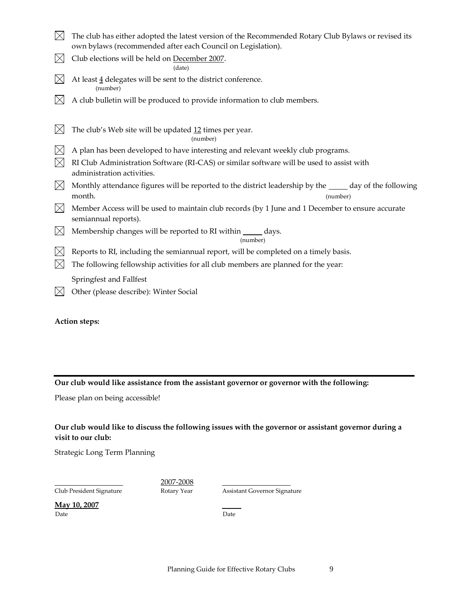| $\boxtimes$ The club has either adopted the latest version of the Recommended Rotary Club Bylaws or revised its |
|-----------------------------------------------------------------------------------------------------------------|
| own bylaws (recommended after each Council on Legislation).                                                     |

 $\boxtimes$  Club elections will be held on December 2007.

(date)

- $\boxtimes$ At least  $\underline{4}$  delegates will be sent to the district conference. (number)
- $\boxtimes$ A club bulletin will be produced to provide information to club members.
- $\boxtimes$ The club's Web site will be updated 12 times per year.

(number)

- $\boxtimes$  A plan has been developed to have interesting and relevant weekly club programs.
- $\boxtimes$  RI Club Administration Software (RI-CAS) or similar software will be used to assist with administration activities.
- $\boxtimes$  Monthly attendance figures will be reported to the district leadership by the  $\_\_\_\_$  day of the following month. (number)
- $\boxtimes$  Member Access will be used to maintain club records (by 1 June and 1 December to ensure accurate semiannual reports).
- $\boxtimes$  Membership changes will be reported to RI within  $\_\_\_\_$  days.

(number)

- $\boxtimes$  Reports to RI, including the semiannual report, will be completed on a timely basis.
- $\boxtimes$  The following fellowship activities for all club members are planned for the year:

Springfest and Fallfest

 $[\times]$  Other (please describe): Winter Social

**Action steps:**

### **Our club would like assistance from the assistant governor or governor with the following:**

Please plan on being accessible!

# **Our club would like to discuss the following issues with the governor or assistant governor during a visit to our club:**

Strategic Long Term Planning

Club President Signature Rotary Year Assistant Governor Signature

2007-2008

**May 10, 2007** Date **Date** Date **Date**